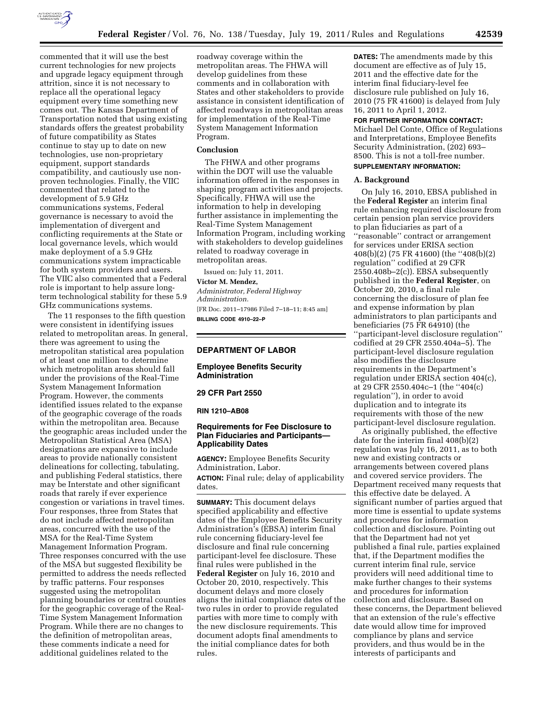

commented that it will use the best current technologies for new projects and upgrade legacy equipment through attrition, since it is not necessary to replace all the operational legacy equipment every time something new comes out. The Kansas Department of Transportation noted that using existing standards offers the greatest probability of future compatibility as States continue to stay up to date on new technologies, use non-proprietary equipment, support standards compatibility, and cautiously use nonproven technologies. Finally, the VIIC commented that related to the development of 5.9 GHz communications systems, Federal governance is necessary to avoid the implementation of divergent and conflicting requirements at the State or local governance levels, which would make deployment of a 5.9 GHz communications system impracticable for both system providers and users. The VIIC also commented that a Federal role is important to help assure longterm technological stability for these 5.9 GHz communications systems.

The 11 responses to the fifth question were consistent in identifying issues related to metropolitan areas. In general, there was agreement to using the metropolitan statistical area population of at least one million to determine which metropolitan areas should fall under the provisions of the Real-Time System Management Information Program. However, the comments identified issues related to the expanse of the geographic coverage of the roads within the metropolitan area. Because the geographic areas included under the Metropolitan Statistical Area (MSA) designations are expansive to include areas to provide nationally consistent delineations for collecting, tabulating, and publishing Federal statistics, there may be Interstate and other significant roads that rarely if ever experience congestion or variations in travel times. Four responses, three from States that do not include affected metropolitan areas, concurred with the use of the MSA for the Real-Time System Management Information Program. Three responses concurred with the use of the MSA but suggested flexibility be permitted to address the needs reflected by traffic patterns. Four responses suggested using the metropolitan planning boundaries or central counties for the geographic coverage of the Real-Time System Management Information Program. While there are no changes to the definition of metropolitan areas, these comments indicate a need for additional guidelines related to the

roadway coverage within the metropolitan areas. The FHWA will develop guidelines from these comments and in collaboration with States and other stakeholders to provide assistance in consistent identification of affected roadways in metropolitan areas for implementation of the Real-Time System Management Information Program.

## **Conclusion**

The FHWA and other programs within the DOT will use the valuable information offered in the responses in shaping program activities and projects. Specifically, FHWA will use the information to help in developing further assistance in implementing the Real-Time System Management Information Program, including working with stakeholders to develop guidelines related to roadway coverage in metropolitan areas.

Issued on: July 11, 2011.

**Victor M. Mendez,** 

*Administrator, Federal Highway Administration.*  [FR Doc. 2011–17986 Filed 7–18–11; 8:45 am] **BILLING CODE 4910–22–P** 

#### **DEPARTMENT OF LABOR**

**Employee Benefits Security Administration** 

#### **29 CFR Part 2550**

**RIN 1210–AB08** 

## **Requirements for Fee Disclosure to Plan Fiduciaries and Participants— Applicability Dates**

**AGENCY:** Employee Benefits Security Administration, Labor. **ACTION:** Final rule; delay of applicability dates.

**SUMMARY:** This document delays specified applicability and effective dates of the Employee Benefits Security Administration's (EBSA) interim final rule concerning fiduciary-level fee disclosure and final rule concerning participant-level fee disclosure. These final rules were published in the **Federal Register** on July 16, 2010 and October 20, 2010, respectively. This document delays and more closely aligns the initial compliance dates of the two rules in order to provide regulated parties with more time to comply with the new disclosure requirements. This document adopts final amendments to the initial compliance dates for both rules.

**DATES:** The amendments made by this document are effective as of July 15, 2011 and the effective date for the interim final fiduciary-level fee disclosure rule published on July 16, 2010 (75 FR 41600) is delayed from July 16, 2011 to April 1, 2012.

# **FOR FURTHER INFORMATION CONTACT:**

Michael Del Conte, Office of Regulations and Interpretations, Employee Benefits Security Administration, (202) 693– 8500. This is not a toll-free number.

# **SUPPLEMENTARY INFORMATION:**

## **A. Background**

On July 16, 2010, EBSA published in the **Federal Register** an interim final rule enhancing required disclosure from certain pension plan service providers to plan fiduciaries as part of a ''reasonable'' contract or arrangement for services under ERISA section 408(b)(2) (75 FR 41600) (the ''408(b)(2) regulation'' codified at 29 CFR 2550.408b–2(c)). EBSA subsequently published in the **Federal Register**, on October 20, 2010, a final rule concerning the disclosure of plan fee and expense information by plan administrators to plan participants and beneficiaries (75 FR 64910) (the ''participant-level disclosure regulation'' codified at 29 CFR 2550.404a–5). The participant-level disclosure regulation also modifies the disclosure requirements in the Department's regulation under ERISA section 404(c), at 29 CFR 2550.404c–1 (the ''404(c) regulation''), in order to avoid duplication and to integrate its requirements with those of the new participant-level disclosure regulation.

As originally published, the effective date for the interim final 408(b)(2) regulation was July 16, 2011, as to both new and existing contracts or arrangements between covered plans and covered service providers. The Department received many requests that this effective date be delayed. A significant number of parties argued that more time is essential to update systems and procedures for information collection and disclosure. Pointing out that the Department had not yet published a final rule, parties explained that, if the Department modifies the current interim final rule, service providers will need additional time to make further changes to their systems and procedures for information collection and disclosure. Based on these concerns, the Department believed that an extension of the rule's effective date would allow time for improved compliance by plans and service providers, and thus would be in the interests of participants and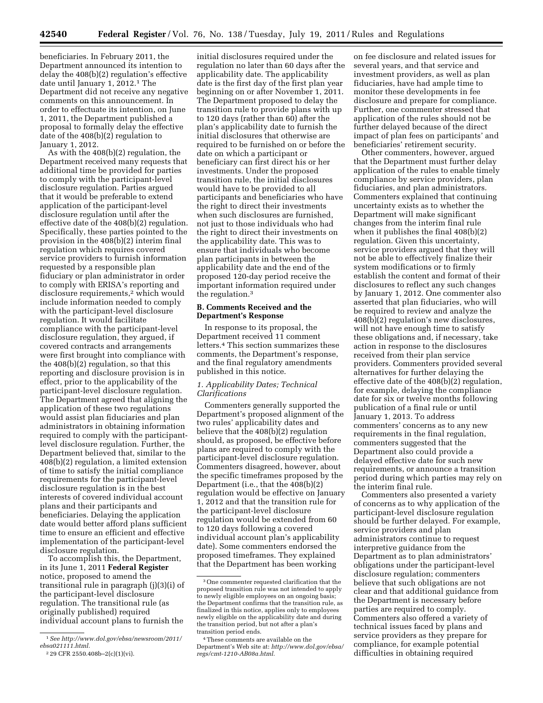beneficiaries. In February 2011, the Department announced its intention to delay the 408(b)(2) regulation's effective date until January 1, 2012.1 The Department did not receive any negative comments on this announcement. In order to effectuate its intention, on June 1, 2011, the Department published a proposal to formally delay the effective date of the 408(b)(2) regulation to January 1, 2012.

As with the 408(b)(2) regulation, the Department received many requests that additional time be provided for parties to comply with the participant-level disclosure regulation. Parties argued that it would be preferable to extend application of the participant-level disclosure regulation until after the effective date of the 408(b)(2) regulation. Specifically, these parties pointed to the provision in the 408(b)(2) interim final regulation which requires covered service providers to furnish information requested by a responsible plan fiduciary or plan administrator in order to comply with ERISA's reporting and disclosure requirements,2 which would include information needed to comply with the participant-level disclosure regulation. It would facilitate compliance with the participant-level disclosure regulation, they argued, if covered contracts and arrangements were first brought into compliance with the 408(b)(2) regulation, so that this reporting and disclosure provision is in effect, prior to the applicability of the participant-level disclosure regulation. The Department agreed that aligning the application of these two regulations would assist plan fiduciaries and plan administrators in obtaining information required to comply with the participantlevel disclosure regulation. Further, the Department believed that, similar to the 408(b)(2) regulation, a limited extension of time to satisfy the initial compliance requirements for the participant-level disclosure regulation is in the best interests of covered individual account plans and their participants and beneficiaries. Delaying the application date would better afford plans sufficient time to ensure an efficient and effective implementation of the participant-level disclosure regulation.

To accomplish this, the Department, in its June 1, 2011 **Federal Register**  notice, proposed to amend the transitional rule in paragraph (j)(3)(i) of the participant-level disclosure regulation. The transitional rule (as originally published) required individual account plans to furnish the

initial disclosures required under the regulation no later than 60 days after the applicability date. The applicability date is the first day of the first plan year beginning on or after November 1, 2011. The Department proposed to delay the transition rule to provide plans with up to 120 days (rather than 60) after the plan's applicability date to furnish the initial disclosures that otherwise are required to be furnished on or before the date on which a participant or beneficiary can first direct his or her investments. Under the proposed transition rule, the initial disclosures would have to be provided to all participants and beneficiaries who have the right to direct their investments when such disclosures are furnished, not just to those individuals who had the right to direct their investments on the applicability date. This was to ensure that individuals who become plan participants in between the applicability date and the end of the proposed 120-day period receive the important information required under the regulation.3

#### **B. Comments Received and the Department's Response**

In response to its proposal, the Department received 11 comment letters.4 This section summarizes these comments, the Department's response, and the final regulatory amendments published in this notice.

## *1. Applicability Dates; Technical Clarifications*

Commenters generally supported the Department's proposed alignment of the two rules' applicability dates and believe that the 408(b)(2) regulation should, as proposed, be effective before plans are required to comply with the participant-level disclosure regulation. Commenters disagreed, however, about the specific timeframes proposed by the Department (i.e., that the 408(b)(2) regulation would be effective on January 1, 2012 and that the transition rule for the participant-level disclosure regulation would be extended from 60 to 120 days following a covered individual account plan's applicability date). Some commenters endorsed the proposed timeframes. They explained that the Department has been working

on fee disclosure and related issues for several years, and that service and investment providers, as well as plan fiduciaries, have had ample time to monitor these developments in fee disclosure and prepare for compliance. Further, one commenter stressed that application of the rules should not be further delayed because of the direct impact of plan fees on participants' and beneficiaries' retirement security.

Other commenters, however, argued that the Department must further delay application of the rules to enable timely compliance by service providers, plan fiduciaries, and plan administrators. Commenters explained that continuing uncertainty exists as to whether the Department will make significant changes from the interim final rule when it publishes the final 408(b)(2) regulation. Given this uncertainty, service providers argued that they will not be able to effectively finalize their system modifications or to firmly establish the content and format of their disclosures to reflect any such changes by January 1, 2012. One commenter also asserted that plan fiduciaries, who will be required to review and analyze the 408(b)(2) regulation's new disclosures, will not have enough time to satisfy these obligations and, if necessary, take action in response to the disclosures received from their plan service providers. Commenters provided several alternatives for further delaying the effective date of the 408(b)(2) regulation, for example, delaying the compliance date for six or twelve months following publication of a final rule or until January 1, 2013. To address commenters' concerns as to any new requirements in the final regulation, commenters suggested that the Department also could provide a delayed effective date for such new requirements, or announce a transition period during which parties may rely on the interim final rule.

Commenters also presented a variety of concerns as to why application of the participant-level disclosure regulation should be further delayed. For example, service providers and plan administrators continue to request interpretive guidance from the Department as to plan administrators' obligations under the participant-level disclosure regulation; commenters believe that such obligations are not clear and that additional guidance from the Department is necessary before parties are required to comply. Commenters also offered a variety of technical issues faced by plans and service providers as they prepare for compliance, for example potential difficulties in obtaining required

<sup>1</sup>*See http://www.dol.gov/ebsa/newsroom/2011/ ebsa021111.html.* 

<sup>2</sup> 29 CFR 2550.408b–2(c)(1)(vi).

<sup>3</sup>One commenter requested clarification that the proposed transition rule was not intended to apply to newly eligible employees on an ongoing basis; the Department confirms that the transition rule, as finalized in this notice, applies only to employees newly eligible on the applicability date and during the transition period, but not after a plan's transition period ends.

<sup>4</sup>These comments are available on the Department's Web site at: *http://www.dol.gov/ebsa/ regs/cmt-1210-AB08a.html.*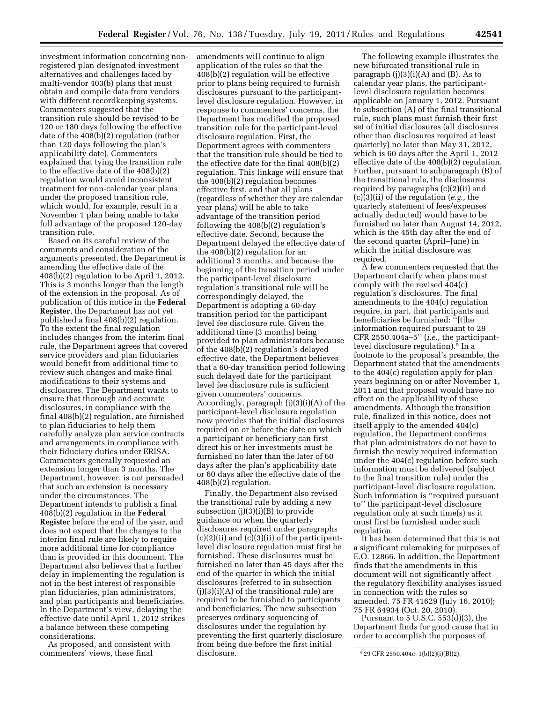investment information concerning nonregistered plan designated investment alternatives and challenges faced by multi-vendor 403(b) plans that must obtain and compile data from vendors with different recordkeeping systems. Commenters suggested that the transition rule should be revised to be 120 or 180 days following the effective date of the 408(b)(2) regulation (rather than 120 days following the plan's applicability date). Commenters explained that tying the transition rule to the effective date of the 408(b)(2) regulation would avoid inconsistent treatment for non-calendar year plans under the proposed transition rule, which would, for example, result in a November 1 plan being unable to take full advantage of the proposed 120-day transition rule.

Based on its careful review of the comments and consideration of the arguments presented, the Department is amending the effective date of the 408(b)(2) regulation to be April 1, 2012. This is 3 months longer than the length of the extension in the proposal. As of publication of this notice in the **Federal Register**, the Department has not yet published a final 408(b)(2) regulation. To the extent the final regulation includes changes from the interim final rule, the Department agrees that covered service providers and plan fiduciaries would benefit from additional time to review such changes and make final modifications to their systems and disclosures. The Department wants to ensure that thorough and accurate disclosures, in compliance with the final 408(b)(2) regulation, are furnished to plan fiduciaries to help them carefully analyze plan service contracts and arrangements in compliance with their fiduciary duties under ERISA. Commenters generally requested an extension longer than 3 months. The Department, however, is not persuaded that such an extension is necessary under the circumstances. The Department intends to publish a final 408(b)(2) regulation in the **Federal Register** before the end of the year, and does not expect that the changes to the interim final rule are likely to require more additional time for compliance than is provided in this document. The Department also believes that a further delay in implementing the regulation is not in the best interest of responsible plan fiduciaries, plan administrators, and plan participants and beneficiaries. In the Department's view, delaying the effective date until April 1, 2012 strikes a balance between these competing considerations.

As proposed, and consistent with commenters' views, these final

amendments will continue to align application of the rules so that the 408(b)(2) regulation will be effective prior to plans being required to furnish disclosures pursuant to the participantlevel disclosure regulation. However, in response to commenters' concerns, the Department has modified the proposed transition rule for the participant-level disclosure regulation. First, the Department agrees with commenters that the transition rule should be tied to the effective date for the final 408(b)(2) regulation. This linkage will ensure that the 408(b)(2) regulation becomes effective first, and that all plans (regardless of whether they are calendar year plans) will be able to take advantage of the transition period following the 408(b)(2) regulation's effective date. Second, because the Department delayed the effective date of the 408(b)(2) regulation for an additional 3 months, and because the beginning of the transition period under the participant-level disclosure regulation's transitional rule will be correspondingly delayed, the Department is adopting a 60-day transition period for the participant level fee disclosure rule. Given the additional time (3 months) being provided to plan administrators because of the 408(b)(2) regulation's delayed effective date, the Department believes that a 60-day transition period following such delayed date for the participant level fee disclosure rule is sufficient given commenters' concerns. Accordingly, paragraph (j)(3)(i)(A) of the participant-level disclosure regulation now provides that the initial disclosures required on or before the date on which a participant or beneficiary can first direct his or her investments must be furnished no later than the later of 60 days after the plan's applicability date or 60 days after the effective date of the 408(b)(2) regulation.

Finally, the Department also revised the transitional rule by adding a new subsection (j)(3)(i)(B) to provide guidance on when the quarterly disclosures required under paragraphs (c)(2)(ii) and (c)(3)(ii) of the participantlevel disclosure regulation must first be furnished. These disclosures must be furnished no later than 45 days after the end of the quarter in which the initial disclosures (referred to in subsection  $(j)(3)(i)(A)$  of the transitional rule) are required to be furnished to participants and beneficiaries. The new subsection preserves ordinary sequencing of disclosures under the regulation by preventing the first quarterly disclosure from being due before the first initial disclosure.

The following example illustrates the new bifurcated transitional rule in paragraph  $(j)(3)(i)(A)$  and  $(B)$ . As to calendar year plans, the participantlevel disclosure regulation becomes applicable on January 1, 2012. Pursuant to subsection (A) of the final transitional rule, such plans must furnish their first set of initial disclosures (all disclosures other than disclosures required at least quarterly) no later than May 31, 2012, which is 60 days after the April 1, 2012 effective date of the 408(b)(2) regulation. Further, pursuant to subparagraph (B) of the transitional rule, the disclosures required by paragraphs (c)(2)(ii) and (c)(3)(ii) of the regulation (*e.g.,* the quarterly statement of fees/expenses actually deducted) would have to be furnished no later than August 14, 2012, which is the 45th day after the end of the second quarter (April–June) in which the initial disclosure was required.

A few commenters requested that the Department clarify when plans must comply with the revised 404(c) regulation's disclosures. The final amendments to the 404(c) regulation require, in part, that participants and beneficiaries be furnished: ''[t]he information required pursuant to 29 CFR 2550.404a–5'' (*i.e.,* the participantlevel disclosure regulation).<sup>5</sup> In a footnote to the proposal's preamble, the Department stated that the amendments to the 404(c) regulation apply for plan years beginning on or after November 1, 2011 and that proposal would have no effect on the applicability of these amendments. Although the transition rule, finalized in this notice, does not itself apply to the amended 404(c) regulation, the Department confirms that plan administrators do not have to furnish the newly required information under the 404(c) regulation before such information must be delivered (subject to the final transition rule) under the participant-level disclosure regulation. Such information is ''required pursuant to'' the participant-level disclosure regulation only at such time(s) as it must first be furnished under such regulation.

It has been determined that this is not a significant rulemaking for purposes of E.O. 12866. In addition, the Department finds that the amendments in this document will not significantly affect the regulatory flexibility analyses issued in connection with the rules so amended. 75 FR 41629 (July 16, 2010); 75 FR 64934 (Oct. 20, 2010).

Pursuant to  $5$  U.S.C.  $553(d)(3)$ , the Department finds for good cause that in order to accomplish the purposes of

<sup>5</sup> 29 CFR 2550.404c–1(b)(2)(i)(B)(2).